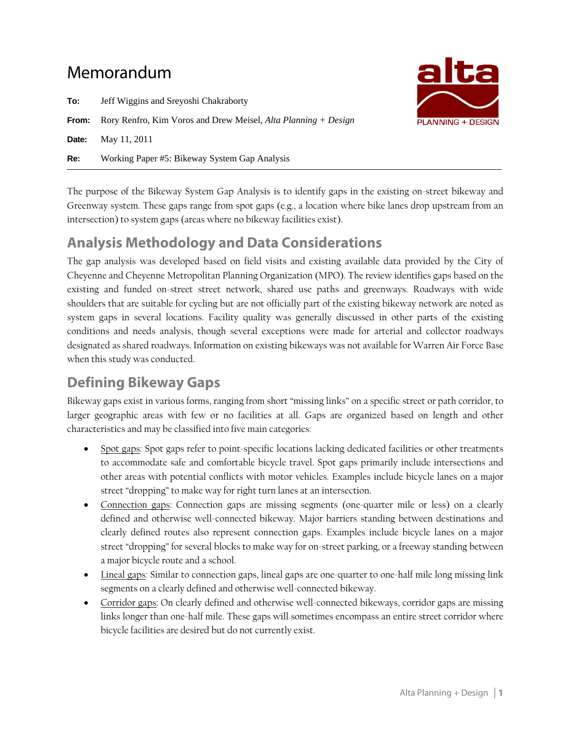# Memorandum

**To:** Jeff Wiggins and Sreyoshi Chakraborty **From:** Rory Renfro, Kim Voros and Drew Meisel, *Alta Planning + Design* **Date:** May 11, 2011 **Re:** Working Paper #5: Bikeway System Gap Analysis



The purpose of the Bikeway System Gap Analysis is to identify gaps in the existing on-street bikeway and Greenway system. These gaps range from spot gaps (e.g., a location where bike lanes drop upstream from an intersection) to system gaps (areas where no bikeway facilities exist).

## **Analysis Methodology and Data Considerations**

The gap analysis was developed based on field visits and existing available data provided by the City of Cheyenne and Cheyenne Metropolitan Planning Organization (MPO). The review identifies gaps based on the existing and funded on-street street network, shared use paths and greenways. Roadways with wide shoulders that are suitable for cycling but are not officially part of the existing bikeway network are noted as system gaps in several locations. Facility quality was generally discussed in other parts of the existing conditions and needs analysis, though several exceptions were made for arterial and collector roadways designated as shared roadways. Information on existing bikeways was not available for Warren Air Force Base when this study was conducted.

## **Defining Bikeway Gaps**

Bikeway gaps exist in various forms, ranging from short "missing links" on a specific street or path corridor, to larger geographic areas with few or no facilities at all. Gaps are organized based on length and other characteristics and may be classified into five main categories:

- Spot gaps: Spot gaps refer to point-specific locations lacking dedicated facilities or other treatments to accommodate safe and comfortable bicycle travel. Spot gaps primarily include intersections and other areas with potential conflicts with motor vehicles. Examples include bicycle lanes on a major street "dropping" to make way for right turn lanes at an intersection.
- Connection gaps: Connection gaps are missing segments (one-quarter mile or less) on a clearly defined and otherwise well-connected bikeway. Major barriers standing between destinations and clearly defined routes also represent connection gaps. Examples include bicycle lanes on a major street "dropping" for several blocks to make way for on-street parking, or a freeway standing between a major bicycle route and a school.
- Lineal gaps: Similar to connection gaps, lineal gaps are one-quarter to one-half mile long missing link segments on a clearly defined and otherwise well-connected bikeway.
- Corridor gaps: On clearly defined and otherwise well-connected bikeways, corridor gaps are missing links longer than one-half mile. These gaps will sometimes encompass an entire street corridor where bicycle facilities are desired but do not currently exist.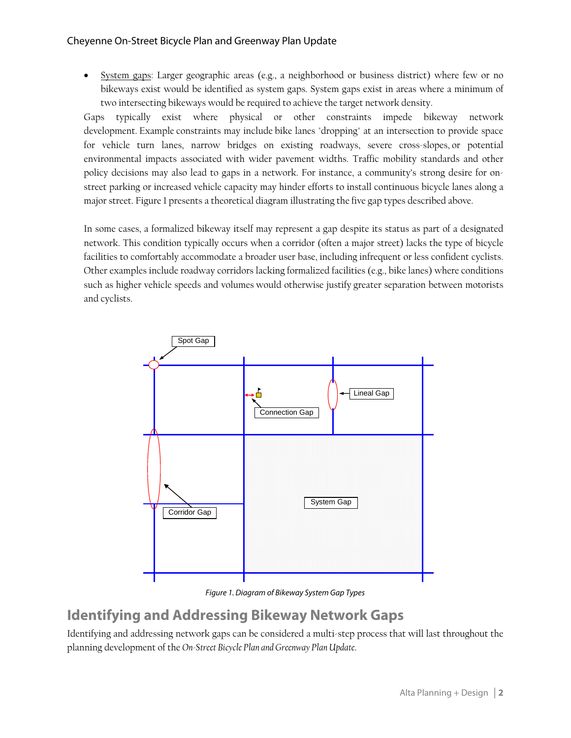#### Cheyenne On-Street Bicycle Plan and Greenway Plan Update

 System gaps: Larger geographic areas (e.g., a neighborhood or business district) where few or no bikeways exist would be identified as system gaps. System gaps exist in areas where a minimum of two intersecting bikeways would be required to achieve the target network density.

Gaps typically exist where physical or other constraints impede bikeway network development. Example constraints may include bike lanes "dropping" at an intersection to provide space for vehicle turn lanes, narrow bridges on existing roadways, severe cross-slopes, or potential environmental impacts associated with wider pavement widths. Traffic mobility standards and other policy decisions may also lead to gaps in a network. For instance, a community's strong desire for onstreet parking or increased vehicle capacity may hinder efforts to install continuous bicycle lanes along a major street. Figure 1 presents a theoretical diagram illustrating the five gap types described above.

In some cases, a formalized bikeway itself may represent a gap despite its status as part of a designated network. This condition typically occurs when a corridor (often a major street) lacks the type of bicycle facilities to comfortably accommodate a broader user base, including infrequent or less confident cyclists. Other examples include roadway corridors lacking formalized facilities (e.g., bike lanes) where conditions such as higher vehicle speeds and volumes would otherwise justify greater separation between motorists and cyclists.



Figure 1. Diagram of Bikeway System Gap Types

### **Identifying and Addressing Bikeway Network Gaps**

Identifying and addressing network gaps can be considered a multi-step process that will last throughout the planning development of the *On-Street Bicycle Plan and Greenway Plan Update*.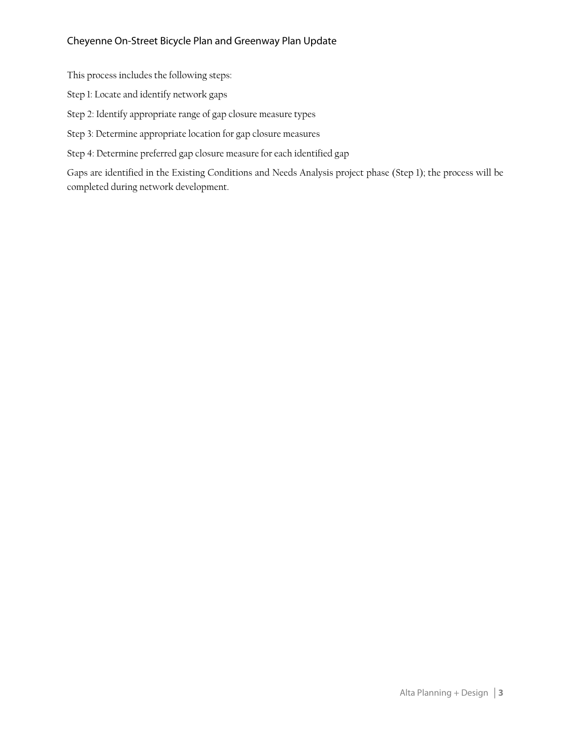#### Cheyenne On-Street Bicycle Plan and Greenway Plan Update

This process includes the following steps:

Step 1: Locate and identify network gaps

Step 2: Identify appropriate range of gap closure measure types

Step 3: Determine appropriate location for gap closure measures

Step 4: Determine preferred gap closure measure for each identified gap

Gaps are identified in the Existing Conditions and Needs Analysis project phase (Step 1); the process will be completed during network development.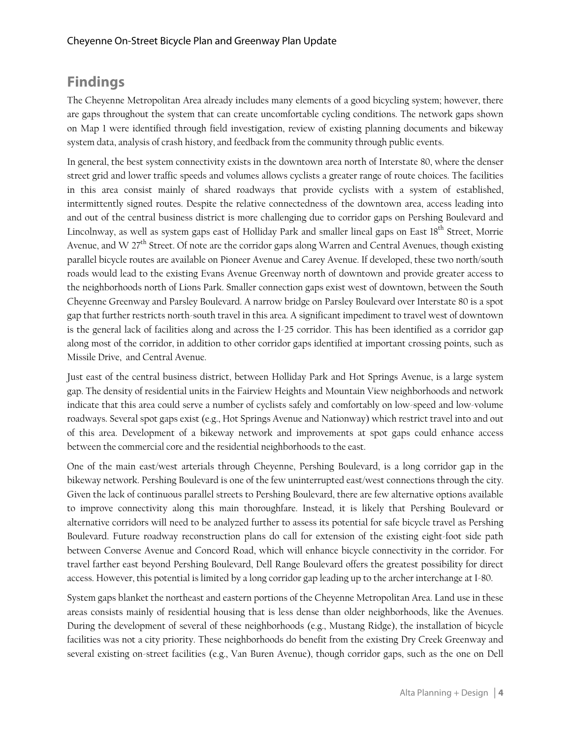## **Findings**

The Cheyenne Metropolitan Area already includes many elements of a good bicycling system; however, there are gaps throughout the system that can create uncomfortable cycling conditions. The network gaps shown on Map 1 were identified through field investigation, review of existing planning documents and bikeway system data, analysis of crash history, and feedback from the community through public events.

In general, the best system connectivity exists in the downtown area north of Interstate 80, where the denser street grid and lower traffic speeds and volumes allows cyclists a greater range of route choices. The facilities in this area consist mainly of shared roadways that provide cyclists with a system of established, intermittently signed routes. Despite the relative connectedness of the downtown area, access leading into and out of the central business district is more challenging due to corridor gaps on Pershing Boulevard and Lincolnway, as well as system gaps east of Holliday Park and smaller lineal gaps on East 18<sup>th</sup> Street, Morrie Avenue, and W 27<sup>th</sup> Street. Of note are the corridor gaps along Warren and Central Avenues, though existing parallel bicycle routes are available on Pioneer Avenue and Carey Avenue. If developed, these two north/south roads would lead to the existing Evans Avenue Greenway north of downtown and provide greater access to the neighborhoods north of Lions Park. Smaller connection gaps exist west of downtown, between the South Cheyenne Greenway and Parsley Boulevard. A narrow bridge on Parsley Boulevard over Interstate 80 is a spot gap that further restricts north-south travel in this area. A significant impediment to travel west of downtown is the general lack of facilities along and across the I-25 corridor. This has been identified as a corridor gap along most of the corridor, in addition to other corridor gaps identified at important crossing points, such as Missile Drive, and Central Avenue.

Just east of the central business district, between Holliday Park and Hot Springs Avenue, is a large system gap. The density of residential units in the Fairview Heights and Mountain View neighborhoods and network indicate that this area could serve a number of cyclists safely and comfortably on low-speed and low-volume roadways. Several spot gaps exist (e.g., Hot Springs Avenue and Nationway) which restrict travel into and out of this area. Development of a bikeway network and improvements at spot gaps could enhance access between the commercial core and the residential neighborhoods to the east.

One of the main east/west arterials through Cheyenne, Pershing Boulevard, is a long corridor gap in the bikeway network. Pershing Boulevard is one of the few uninterrupted east/west connections through the city. Given the lack of continuous parallel streets to Pershing Boulevard, there are few alternative options available to improve connectivity along this main thoroughfare. Instead, it is likely that Pershing Boulevard or alternative corridors will need to be analyzed further to assess its potential for safe bicycle travel as Pershing Boulevard. Future roadway reconstruction plans do call for extension of the existing eight-foot side path between Converse Avenue and Concord Road, which will enhance bicycle connectivity in the corridor. For travel farther east beyond Pershing Boulevard, Dell Range Boulevard offers the greatest possibility for direct access. However, this potential is limited by a long corridor gap leading up to the archer interchange at I-80.

System gaps blanket the northeast and eastern portions of the Cheyenne Metropolitan Area. Land use in these areas consists mainly of residential housing that is less dense than older neighborhoods, like the Avenues. During the development of several of these neighborhoods (e.g., Mustang Ridge), the installation of bicycle facilities was not a city priority. These neighborhoods do benefit from the existing Dry Creek Greenway and several existing on-street facilities (e.g., Van Buren Avenue), though corridor gaps, such as the one on Dell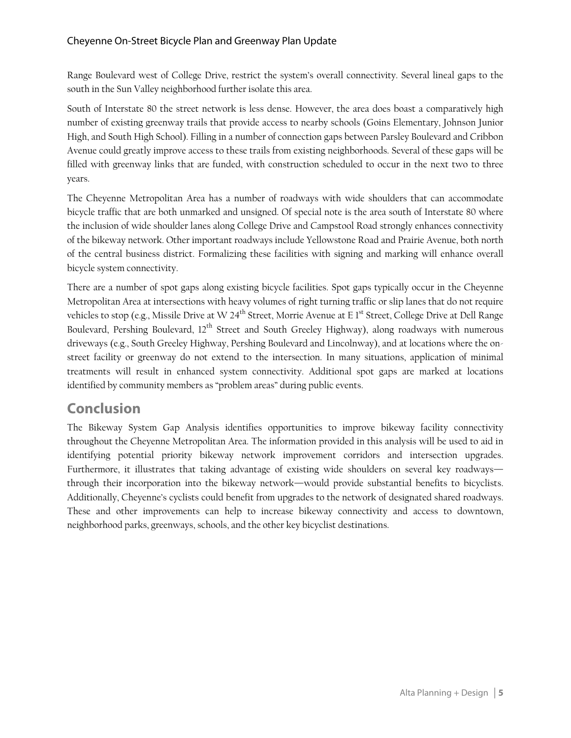Range Boulevard west of College Drive, restrict the system's overall connectivity. Several lineal gaps to the south in the Sun Valley neighborhood further isolate this area.

South of Interstate 80 the street network is less dense. However, the area does boast a comparatively high number of existing greenway trails that provide access to nearby schools (Goins Elementary, Johnson Junior High, and South High School). Filling in a number of connection gaps between Parsley Boulevard and Cribbon Avenue could greatly improve access to these trails from existing neighborhoods. Several of these gaps will be filled with greenway links that are funded, with construction scheduled to occur in the next two to three years.

The Cheyenne Metropolitan Area has a number of roadways with wide shoulders that can accommodate bicycle traffic that are both unmarked and unsigned. Of special note is the area south of Interstate 80 where the inclusion of wide shoulder lanes along College Drive and Campstool Road strongly enhances connectivity of the bikeway network. Other important roadways include Yellowstone Road and Prairie Avenue, both north of the central business district. Formalizing these facilities with signing and marking will enhance overall bicycle system connectivity.

There are a number of spot gaps along existing bicycle facilities. Spot gaps typically occur in the Cheyenne Metropolitan Area at intersections with heavy volumes of right turning traffic or slip lanes that do not require vehicles to stop (e.g., Missile Drive at W 24<sup>th</sup> Street, Morrie Avenue at E 1<sup>st</sup> Street, College Drive at Dell Range Boulevard, Pershing Boulevard, 12<sup>th</sup> Street and South Greeley Highway), along roadways with numerous driveways (e.g., South Greeley Highway, Pershing Boulevard and Lincolnway), and at locations where the onstreet facility or greenway do not extend to the intersection. In many situations, application of minimal treatments will result in enhanced system connectivity. Additional spot gaps are marked at locations identified by community members as "problem areas" during public events.

## **Conclusion**

The Bikeway System Gap Analysis identifies opportunities to improve bikeway facility connectivity throughout the Cheyenne Metropolitan Area. The information provided in this analysis will be used to aid in identifying potential priority bikeway network improvement corridors and intersection upgrades. Furthermore, it illustrates that taking advantage of existing wide shoulders on several key roadways through their incorporation into the bikeway network—would provide substantial benefits to bicyclists. Additionally, Cheyenne's cyclists could benefit from upgrades to the network of designated shared roadways. These and other improvements can help to increase bikeway connectivity and access to downtown, neighborhood parks, greenways, schools, and the other key bicyclist destinations.